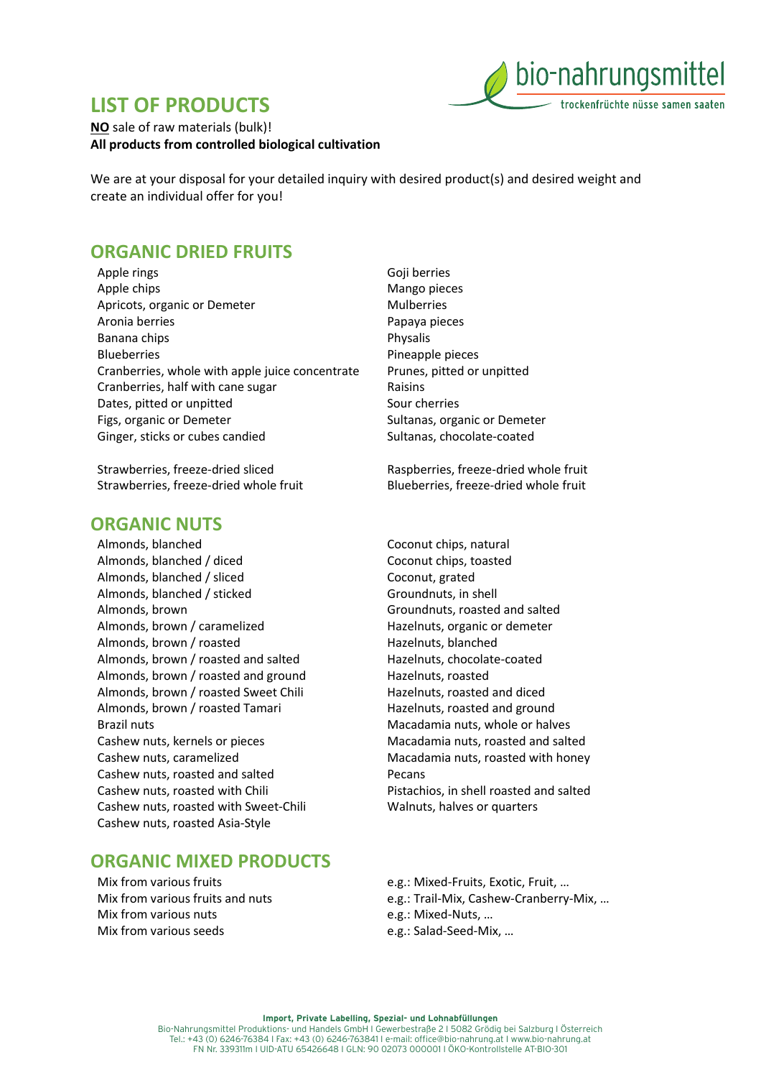## **LIST OF PRODUCTS**



**NO** sale of raw materials (bulk)! **All products from controlled biological cultivation**

We are at your disposal for your detailed inquiry with desired product(s) and desired weight and create an individual offer for you!

### **ORGANIC DRIED FRUITS**

Apple rings Apple chips Apricots, organic or Demeter Aronia berries Banana chips Blueberries Cranberries, whole with apple juice concentrate Cranberries, half with cane sugar Dates, pitted or unpitted Figs, organic or Demeter Ginger, sticks or cubes candied

Strawberries, freeze-dried sliced Strawberries, freeze-dried whole fruit

#### **ORGANIC NUTS**

Almonds, blanched Almonds, blanched / diced Almonds, blanched / sliced Almonds, blanched / sticked Almonds, brown Almonds, brown / caramelized Almonds, brown / roasted Almonds, brown / roasted and salted Almonds, brown / roasted and ground Almonds, brown / roasted Sweet Chili Almonds, brown / roasted Tamari Brazil nuts Cashew nuts, kernels or pieces Cashew nuts, caramelized Cashew nuts, roasted and salted Cashew nuts, roasted with Chili Cashew nuts, roasted with Sweet-Chili Cashew nuts, roasted Asia-Style

### **ORGANIC MIXED PRODUCTS**

Mix from various fruits Mix from various fruits and nuts Mix from various nuts Mix from various seeds

Goji berries Mango pieces Mulberries Papaya pieces Physalis Pineapple pieces Prunes, pitted or unpitted Raisins Sour cherries Sultanas, organic or Demeter Sultanas, chocolate-coated

Raspberries, freeze-dried whole fruit Blueberries, freeze-dried whole fruit

- Coconut chips, natural Coconut chips, toasted Coconut, grated Groundnuts, in shell Groundnuts, roasted and salted Hazelnuts, organic or demeter Hazelnuts, blanched Hazelnuts, chocolate-coated Hazelnuts, roasted Hazelnuts, roasted and diced Hazelnuts, roasted and ground Macadamia nuts, whole or halves Macadamia nuts, roasted and salted Macadamia nuts, roasted with honey Pecans Pistachios, in shell roasted and salted Walnuts, halves or quarters
- e.g.: Mixed-Fruits, Exotic, Fruit, … e.g.: Trail-Mix, Cashew-Cranberry-Mix, … e.g.: Mixed-Nuts, … e.g.: Salad-Seed-Mix, …

**Import, Private Labelling, Spezial- und Lohnabfüllungen** Bio-Nahrungsmittel Produktions- und Handels GmbH I Gewerbestraße 2 I 5082 Grödig bei Salzburg I Österreich Tel.: +43 (0) 6246-76384 I Fax: +43 (0) 6246-763841 I e-mail: office@bio-nahrung.at I www.bio-nahrung.at FN Nr. 339311m I UID-ATU 65426648 I GLN: 90 02073 000001 I ÖKO-Kontrollstelle AT-BIO-301